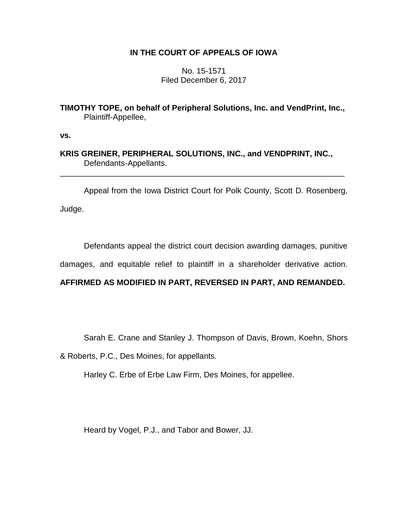# **IN THE COURT OF APPEALS OF IOWA**

No. 15-1571 Filed December 6, 2017

**TIMOTHY TOPE, on behalf of Peripheral Solutions, Inc. and VendPrint, Inc.,** Plaintiff-Appellee,

**vs.**

**KRIS GREINER, PERIPHERAL SOLUTIONS, INC., and VENDPRINT, INC.,** Defendants-Appellants.

Appeal from the Iowa District Court for Polk County, Scott D. Rosenberg, Judge.

\_\_\_\_\_\_\_\_\_\_\_\_\_\_\_\_\_\_\_\_\_\_\_\_\_\_\_\_\_\_\_\_\_\_\_\_\_\_\_\_\_\_\_\_\_\_\_\_\_\_\_\_\_\_\_\_\_\_\_\_\_\_\_\_

Defendants appeal the district court decision awarding damages, punitive

damages, and equitable relief to plaintiff in a shareholder derivative action.

# **AFFIRMED AS MODIFIED IN PART, REVERSED IN PART, AND REMANDED.**

Sarah E. Crane and Stanley J. Thompson of Davis, Brown, Koehn, Shors

& Roberts, P.C., Des Moines, for appellants.

Harley C. Erbe of Erbe Law Firm, Des Moines, for appellee.

Heard by Vogel, P.J., and Tabor and Bower, JJ.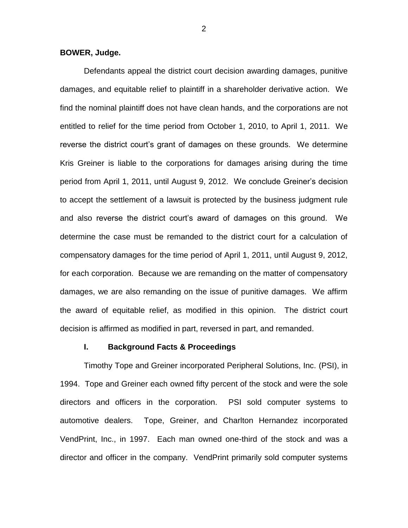**BOWER, Judge.**

Defendants appeal the district court decision awarding damages, punitive damages, and equitable relief to plaintiff in a shareholder derivative action. We find the nominal plaintiff does not have clean hands, and the corporations are not entitled to relief for the time period from October 1, 2010, to April 1, 2011. We reverse the district court's grant of damages on these grounds. We determine Kris Greiner is liable to the corporations for damages arising during the time period from April 1, 2011, until August 9, 2012. We conclude Greiner's decision to accept the settlement of a lawsuit is protected by the business judgment rule and also reverse the district court's award of damages on this ground. We determine the case must be remanded to the district court for a calculation of compensatory damages for the time period of April 1, 2011, until August 9, 2012, for each corporation. Because we are remanding on the matter of compensatory damages, we are also remanding on the issue of punitive damages. We affirm the award of equitable relief, as modified in this opinion. The district court decision is affirmed as modified in part, reversed in part, and remanded.

#### **I. Background Facts & Proceedings**

Timothy Tope and Greiner incorporated Peripheral Solutions, Inc. (PSI), in 1994. Tope and Greiner each owned fifty percent of the stock and were the sole directors and officers in the corporation. PSI sold computer systems to automotive dealers. Tope, Greiner, and Charlton Hernandez incorporated VendPrint, Inc., in 1997. Each man owned one-third of the stock and was a director and officer in the company. VendPrint primarily sold computer systems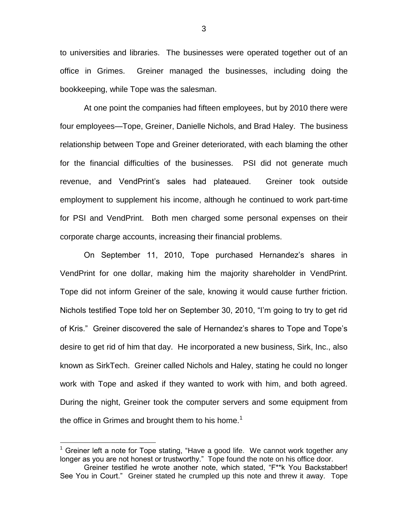to universities and libraries. The businesses were operated together out of an office in Grimes. Greiner managed the businesses, including doing the bookkeeping, while Tope was the salesman.

At one point the companies had fifteen employees, but by 2010 there were four employees—Tope, Greiner, Danielle Nichols, and Brad Haley. The business relationship between Tope and Greiner deteriorated, with each blaming the other for the financial difficulties of the businesses. PSI did not generate much revenue, and VendPrint's sales had plateaued. Greiner took outside employment to supplement his income, although he continued to work part-time for PSI and VendPrint. Both men charged some personal expenses on their corporate charge accounts, increasing their financial problems.

On September 11, 2010, Tope purchased Hernandez's shares in VendPrint for one dollar, making him the majority shareholder in VendPrint. Tope did not inform Greiner of the sale, knowing it would cause further friction. Nichols testified Tope told her on September 30, 2010, "I'm going to try to get rid of Kris." Greiner discovered the sale of Hernandez's shares to Tope and Tope's desire to get rid of him that day. He incorporated a new business, Sirk, Inc., also known as SirkTech. Greiner called Nichols and Haley, stating he could no longer work with Tope and asked if they wanted to work with him, and both agreed. During the night, Greiner took the computer servers and some equipment from the office in Grimes and brought them to his home.<sup>1</sup>

 $1$  Greiner left a note for Tope stating, "Have a good life. We cannot work together any longer as you are not honest or trustworthy." Tope found the note on his office door.

Greiner testified he wrote another note, which stated, "F\*\*k You Backstabber! See You in Court." Greiner stated he crumpled up this note and threw it away. Tope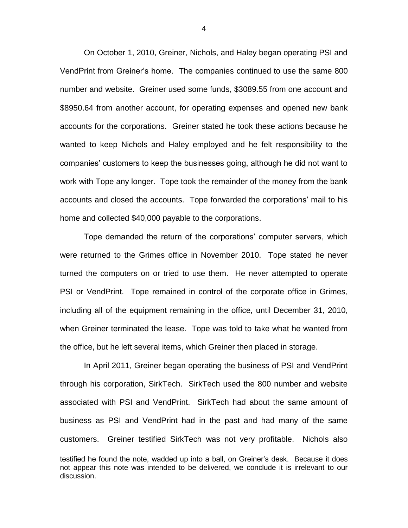On October 1, 2010, Greiner, Nichols, and Haley began operating PSI and VendPrint from Greiner's home. The companies continued to use the same 800 number and website. Greiner used some funds, \$3089.55 from one account and \$8950.64 from another account, for operating expenses and opened new bank accounts for the corporations. Greiner stated he took these actions because he wanted to keep Nichols and Haley employed and he felt responsibility to the companies' customers to keep the businesses going, although he did not want to work with Tope any longer. Tope took the remainder of the money from the bank accounts and closed the accounts. Tope forwarded the corporations' mail to his home and collected \$40,000 payable to the corporations.

Tope demanded the return of the corporations' computer servers, which were returned to the Grimes office in November 2010. Tope stated he never turned the computers on or tried to use them. He never attempted to operate PSI or VendPrint. Tope remained in control of the corporate office in Grimes, including all of the equipment remaining in the office, until December 31, 2010, when Greiner terminated the lease. Tope was told to take what he wanted from the office, but he left several items, which Greiner then placed in storage.

In April 2011, Greiner began operating the business of PSI and VendPrint through his corporation, SirkTech. SirkTech used the 800 number and website associated with PSI and VendPrint. SirkTech had about the same amount of business as PSI and VendPrint had in the past and had many of the same customers. Greiner testified SirkTech was not very profitable. Nichols also  $\overline{a}$ 

testified he found the note, wadded up into a ball, on Greiner's desk. Because it does not appear this note was intended to be delivered, we conclude it is irrelevant to our discussion.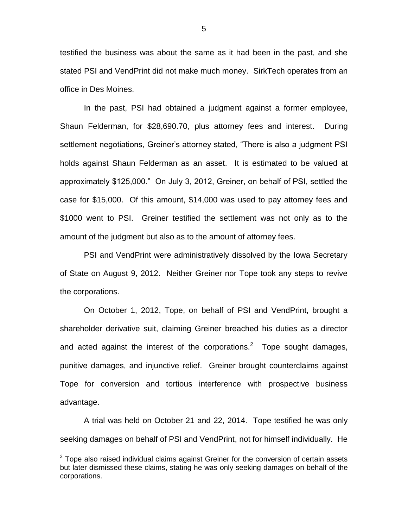testified the business was about the same as it had been in the past, and she stated PSI and VendPrint did not make much money. SirkTech operates from an office in Des Moines.

In the past, PSI had obtained a judgment against a former employee, Shaun Felderman, for \$28,690.70, plus attorney fees and interest. During settlement negotiations, Greiner's attorney stated, "There is also a judgment PSI holds against Shaun Felderman as an asset. It is estimated to be valued at approximately \$125,000." On July 3, 2012, Greiner, on behalf of PSI, settled the case for \$15,000. Of this amount, \$14,000 was used to pay attorney fees and \$1000 went to PSI. Greiner testified the settlement was not only as to the amount of the judgment but also as to the amount of attorney fees.

PSI and VendPrint were administratively dissolved by the Iowa Secretary of State on August 9, 2012. Neither Greiner nor Tope took any steps to revive the corporations.

On October 1, 2012, Tope, on behalf of PSI and VendPrint, brought a shareholder derivative suit, claiming Greiner breached his duties as a director and acted against the interest of the corporations.<sup>2</sup> Tope sought damages, punitive damages, and injunctive relief. Greiner brought counterclaims against Tope for conversion and tortious interference with prospective business advantage.

A trial was held on October 21 and 22, 2014. Tope testified he was only seeking damages on behalf of PSI and VendPrint, not for himself individually. He

 $2$  Tope also raised individual claims against Greiner for the conversion of certain assets but later dismissed these claims, stating he was only seeking damages on behalf of the corporations.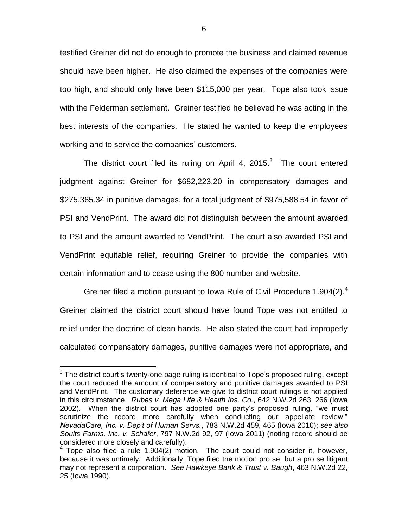testified Greiner did not do enough to promote the business and claimed revenue should have been higher. He also claimed the expenses of the companies were too high, and should only have been \$115,000 per year. Tope also took issue with the Felderman settlement. Greiner testified he believed he was acting in the best interests of the companies. He stated he wanted to keep the employees working and to service the companies' customers.

The district court filed its ruling on April 4, 2015. $3$  The court entered judgment against Greiner for \$682,223.20 in compensatory damages and \$275,365.34 in punitive damages, for a total judgment of \$975,588.54 in favor of PSI and VendPrint. The award did not distinguish between the amount awarded to PSI and the amount awarded to VendPrint. The court also awarded PSI and VendPrint equitable relief, requiring Greiner to provide the companies with certain information and to cease using the 800 number and website.

Greiner filed a motion pursuant to Iowa Rule of Civil Procedure 1.904(2). $4$ Greiner claimed the district court should have found Tope was not entitled to relief under the doctrine of clean hands. He also stated the court had improperly calculated compensatory damages, punitive damages were not appropriate, and

 $3$  The district court's twenty-one page ruling is identical to Tope's proposed ruling, except the court reduced the amount of compensatory and punitive damages awarded to PSI and VendPrint. The customary deference we give to district court rulings is not applied in this circumstance. *Rubes v. Mega Life & Health Ins. Co.*, 642 N.W.2d 263, 266 (Iowa 2002). When the district court has adopted one party's proposed ruling, "we must scrutinize the record more carefully when conducting our appellate review." *NevadaCare, Inc. v. Dep't of Human Servs.*, 783 N.W.2d 459, 465 (Iowa 2010); *see also Soults Farms, Inc. v. Schafer*, 797 N.W.2d 92, 97 (Iowa 2011) (noting record should be considered more closely and carefully).

<sup>4</sup> Tope also filed a rule 1.904(2) motion. The court could not consider it, however, because it was untimely. Additionally, Tope filed the motion pro se, but a pro se litigant may not represent a corporation. *See Hawkeye Bank & Trust v. Baugh*, 463 N.W.2d 22, 25 (Iowa 1990).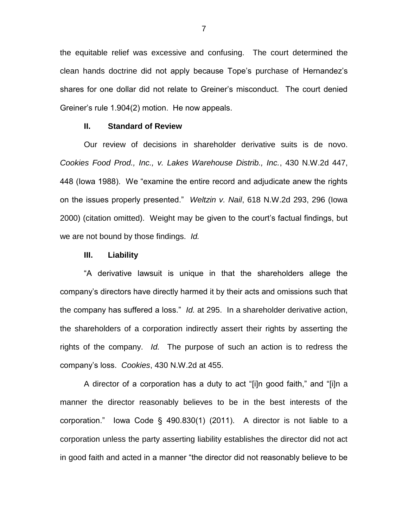the equitable relief was excessive and confusing. The court determined the clean hands doctrine did not apply because Tope's purchase of Hernandez's shares for one dollar did not relate to Greiner's misconduct. The court denied Greiner's rule 1.904(2) motion. He now appeals.

## **II. Standard of Review**

Our review of decisions in shareholder derivative suits is de novo. *Cookies Food Prod., Inc., v. Lakes Warehouse Distrib., Inc.*, 430 N.W.2d 447, 448 (Iowa 1988). We "examine the entire record and adjudicate anew the rights on the issues properly presented." *Weltzin v. Nail*, 618 N.W.2d 293, 296 (Iowa 2000) (citation omitted). Weight may be given to the court's factual findings, but we are not bound by those findings. *Id.*

### **III. Liability**

"A derivative lawsuit is unique in that the shareholders allege the company's directors have directly harmed it by their acts and omissions such that the company has suffered a loss." *Id.* at 295. In a shareholder derivative action, the shareholders of a corporation indirectly assert their rights by asserting the rights of the company. *Id.* The purpose of such an action is to redress the company's loss. *Cookies*, 430 N.W.2d at 455.

A director of a corporation has a duty to act "[i]n good faith," and "[i]n a manner the director reasonably believes to be in the best interests of the corporation." Iowa Code § 490.830(1) (2011). A director is not liable to a corporation unless the party asserting liability establishes the director did not act in good faith and acted in a manner "the director did not reasonably believe to be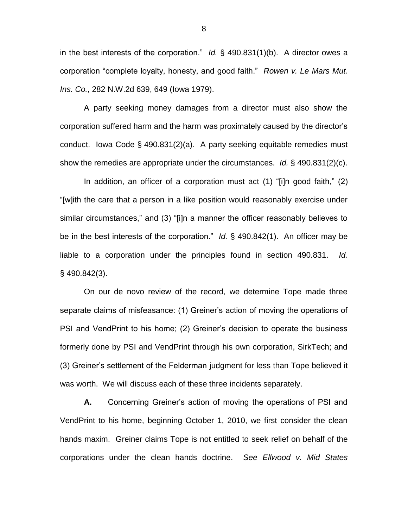in the best interests of the corporation." *Id.* § 490.831(1)(b). A director owes a corporation "complete loyalty, honesty, and good faith." *Rowen v. Le Mars Mut. Ins. Co.*, 282 N.W.2d 639, 649 (Iowa 1979).

A party seeking money damages from a director must also show the corporation suffered harm and the harm was proximately caused by the director's conduct. Iowa Code § 490.831(2)(a). A party seeking equitable remedies must show the remedies are appropriate under the circumstances. *Id.* § 490.831(2)(c).

In addition, an officer of a corporation must act (1) "[i]n good faith," (2) "[w]ith the care that a person in a like position would reasonably exercise under similar circumstances," and (3) "[i]n a manner the officer reasonably believes to be in the best interests of the corporation." *Id.* § 490.842(1). An officer may be liable to a corporation under the principles found in section 490.831. *Id.* § 490.842(3).

On our de novo review of the record, we determine Tope made three separate claims of misfeasance: (1) Greiner's action of moving the operations of PSI and VendPrint to his home; (2) Greiner's decision to operate the business formerly done by PSI and VendPrint through his own corporation, SirkTech; and (3) Greiner's settlement of the Felderman judgment for less than Tope believed it was worth. We will discuss each of these three incidents separately.

**A.** Concerning Greiner's action of moving the operations of PSI and VendPrint to his home, beginning October 1, 2010, we first consider the clean hands maxim. Greiner claims Tope is not entitled to seek relief on behalf of the corporations under the clean hands doctrine. *See Ellwood v. Mid States* 

8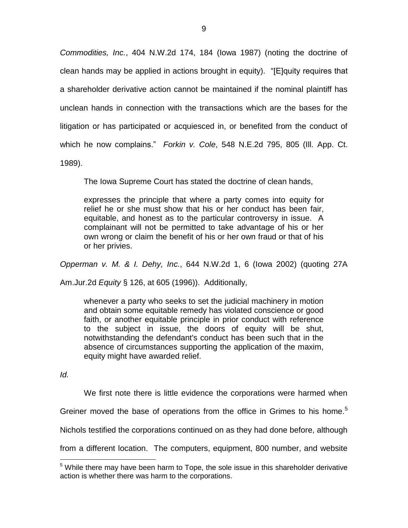*Commodities, Inc.*, 404 N.W.2d 174, 184 (Iowa 1987) (noting the doctrine of clean hands may be applied in actions brought in equity). "[E]quity requires that a shareholder derivative action cannot be maintained if the nominal plaintiff has unclean hands in connection with the transactions which are the bases for the litigation or has participated or acquiesced in, or benefited from the conduct of which he now complains." *Forkin v. Cole*, 548 N.E.2d 795, 805 (Ill. App. Ct. 1989).

The Iowa Supreme Court has stated the doctrine of clean hands,

expresses the principle that where a party comes into equity for relief he or she must show that his or her conduct has been fair, equitable, and honest as to the particular controversy in issue. A complainant will not be permitted to take advantage of his or her own wrong or claim the benefit of his or her own fraud or that of his or her privies.

*Opperman v. M. & I. Dehy, Inc.*, 644 N.W.2d 1, 6 (Iowa 2002) (quoting 27A

Am.Jur.2d *Equity* § 126, at 605 (1996)). Additionally,

whenever a party who seeks to set the judicial machinery in motion and obtain some equitable remedy has violated conscience or good faith, or another equitable principle in prior conduct with reference to the subject in issue, the doors of equity will be shut, notwithstanding the defendant's conduct has been such that in the absence of circumstances supporting the application of the maxim, equity might have awarded relief.

*Id.*

 $\overline{a}$ 

We first note there is little evidence the corporations were harmed when

Greiner moved the base of operations from the office in Grimes to his home.<sup>5</sup>

Nichols testified the corporations continued on as they had done before, although

from a different location. The computers, equipment, 800 number, and website

 $5$  While there may have been harm to Tope, the sole issue in this shareholder derivative action is whether there was harm to the corporations.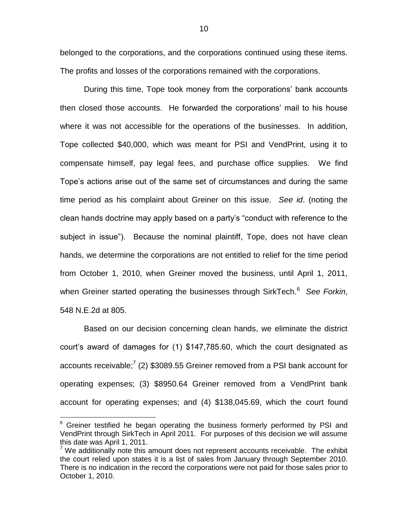belonged to the corporations, and the corporations continued using these items. The profits and losses of the corporations remained with the corporations.

During this time, Tope took money from the corporations' bank accounts then closed those accounts. He forwarded the corporations' mail to his house where it was not accessible for the operations of the businesses. In addition, Tope collected \$40,000, which was meant for PSI and VendPrint, using it to compensate himself, pay legal fees, and purchase office supplies. We find Tope's actions arise out of the same set of circumstances and during the same time period as his complaint about Greiner on this issue. *See id*. (noting the clean hands doctrine may apply based on a party's "conduct with reference to the subject in issue"). Because the nominal plaintiff, Tope, does not have clean hands, we determine the corporations are not entitled to relief for the time period from October 1, 2010, when Greiner moved the business, until April 1, 2011, when Greiner started operating the businesses through SirkTech.<sup>6</sup> See Forkin, 548 N.E.2d at 805.

Based on our decision concerning clean hands, we eliminate the district court's award of damages for (1) \$147,785.60, which the court designated as accounts receivable;<sup>7</sup> (2) \$3089.55 Greiner removed from a PSI bank account for operating expenses; (3) \$8950.64 Greiner removed from a VendPrint bank account for operating expenses; and (4) \$138,045.69, which the court found

 $6$  Greiner testified he began operating the business formerly performed by PSI and VendPrint through SirkTech in April 2011. For purposes of this decision we will assume this date was April 1, 2011.

 $7$  We additionally note this amount does not represent accounts receivable. The exhibit the court relied upon states it is a list of sales from January through September 2010. There is no indication in the record the corporations were not paid for those sales prior to October 1, 2010.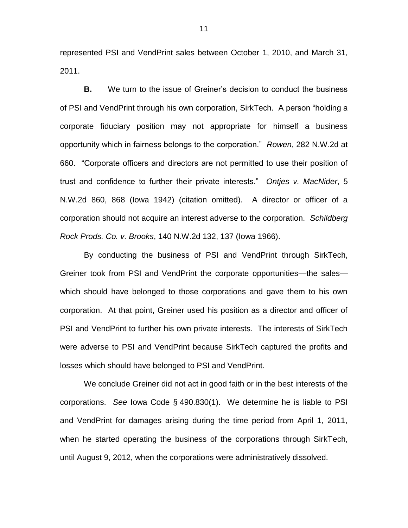represented PSI and VendPrint sales between October 1, 2010, and March 31, 2011.

**B.** We turn to the issue of Greiner's decision to conduct the business of PSI and VendPrint through his own corporation, SirkTech. A person "holding a corporate fiduciary position may not appropriate for himself a business opportunity which in fairness belongs to the corporation." *Rowen*, 282 N.W.2d at 660. "Corporate officers and directors are not permitted to use their position of trust and confidence to further their private interests." *Ontjes v. MacNider*, 5 N.W.2d 860, 868 (Iowa 1942) (citation omitted). A director or officer of a corporation should not acquire an interest adverse to the corporation. *Schildberg Rock Prods. Co. v. Brooks*, 140 N.W.2d 132, 137 (Iowa 1966).

By conducting the business of PSI and VendPrint through SirkTech, Greiner took from PSI and VendPrint the corporate opportunities—the sales which should have belonged to those corporations and gave them to his own corporation. At that point, Greiner used his position as a director and officer of PSI and VendPrint to further his own private interests. The interests of SirkTech were adverse to PSI and VendPrint because SirkTech captured the profits and losses which should have belonged to PSI and VendPrint.

We conclude Greiner did not act in good faith or in the best interests of the corporations. *See* Iowa Code § 490.830(1). We determine he is liable to PSI and VendPrint for damages arising during the time period from April 1, 2011, when he started operating the business of the corporations through SirkTech, until August 9, 2012, when the corporations were administratively dissolved.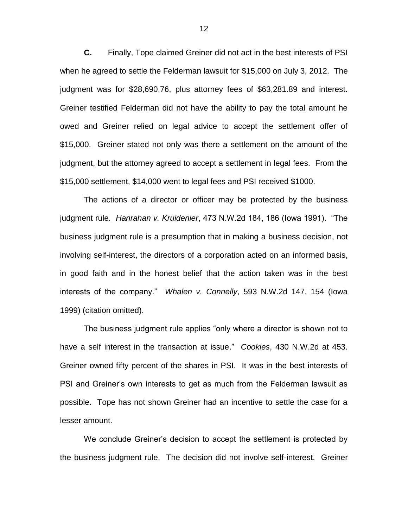**C.** Finally, Tope claimed Greiner did not act in the best interests of PSI when he agreed to settle the Felderman lawsuit for \$15,000 on July 3, 2012. The judgment was for \$28,690.76, plus attorney fees of \$63,281.89 and interest. Greiner testified Felderman did not have the ability to pay the total amount he owed and Greiner relied on legal advice to accept the settlement offer of \$15,000. Greiner stated not only was there a settlement on the amount of the judgment, but the attorney agreed to accept a settlement in legal fees. From the \$15,000 settlement, \$14,000 went to legal fees and PSI received \$1000.

The actions of a director or officer may be protected by the business judgment rule. *Hanrahan v. Kruidenier*, 473 N.W.2d 184, 186 (Iowa 1991). "The business judgment rule is a presumption that in making a business decision, not involving self-interest, the directors of a corporation acted on an informed basis, in good faith and in the honest belief that the action taken was in the best interests of the company." *Whalen v. Connelly*, 593 N.W.2d 147, 154 (Iowa 1999) (citation omitted).

The business judgment rule applies "only where a director is shown not to have a self interest in the transaction at issue." *Cookies*, 430 N.W.2d at 453. Greiner owned fifty percent of the shares in PSI. It was in the best interests of PSI and Greiner's own interests to get as much from the Felderman lawsuit as possible. Tope has not shown Greiner had an incentive to settle the case for a lesser amount.

We conclude Greiner's decision to accept the settlement is protected by the business judgment rule. The decision did not involve self-interest. Greiner

12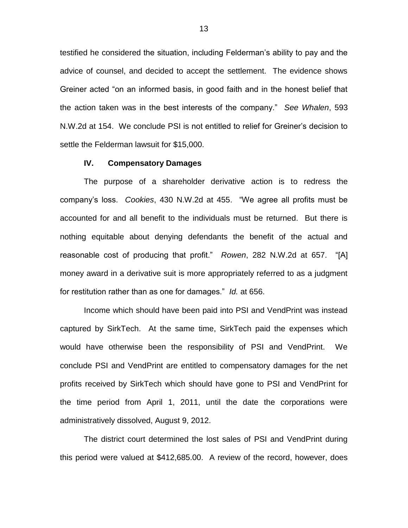testified he considered the situation, including Felderman's ability to pay and the advice of counsel, and decided to accept the settlement. The evidence shows Greiner acted "on an informed basis, in good faith and in the honest belief that the action taken was in the best interests of the company." *See Whalen*, 593 N.W.2d at 154. We conclude PSI is not entitled to relief for Greiner's decision to settle the Felderman lawsuit for \$15,000.

## **IV. Compensatory Damages**

The purpose of a shareholder derivative action is to redress the company's loss. *Cookies*, 430 N.W.2d at 455. "We agree all profits must be accounted for and all benefit to the individuals must be returned. But there is nothing equitable about denying defendants the benefit of the actual and reasonable cost of producing that profit." *Rowen*, 282 N.W.2d at 657. "[A] money award in a derivative suit is more appropriately referred to as a judgment for restitution rather than as one for damages." *Id.* at 656.

Income which should have been paid into PSI and VendPrint was instead captured by SirkTech. At the same time, SirkTech paid the expenses which would have otherwise been the responsibility of PSI and VendPrint. We conclude PSI and VendPrint are entitled to compensatory damages for the net profits received by SirkTech which should have gone to PSI and VendPrint for the time period from April 1, 2011, until the date the corporations were administratively dissolved, August 9, 2012.

The district court determined the lost sales of PSI and VendPrint during this period were valued at \$412,685.00. A review of the record, however, does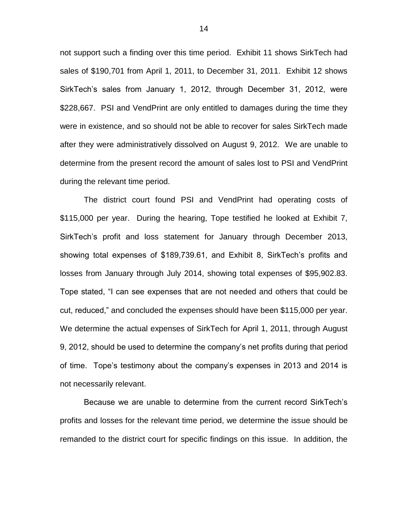not support such a finding over this time period. Exhibit 11 shows SirkTech had sales of \$190,701 from April 1, 2011, to December 31, 2011. Exhibit 12 shows SirkTech's sales from January 1, 2012, through December 31, 2012, were \$228,667. PSI and VendPrint are only entitled to damages during the time they were in existence, and so should not be able to recover for sales SirkTech made after they were administratively dissolved on August 9, 2012. We are unable to determine from the present record the amount of sales lost to PSI and VendPrint during the relevant time period.

The district court found PSI and VendPrint had operating costs of \$115,000 per year. During the hearing, Tope testified he looked at Exhibit 7, SirkTech's profit and loss statement for January through December 2013, showing total expenses of \$189,739.61, and Exhibit 8, SirkTech's profits and losses from January through July 2014, showing total expenses of \$95,902.83. Tope stated, "I can see expenses that are not needed and others that could be cut, reduced," and concluded the expenses should have been \$115,000 per year. We determine the actual expenses of SirkTech for April 1, 2011, through August 9, 2012, should be used to determine the company's net profits during that period of time. Tope's testimony about the company's expenses in 2013 and 2014 is not necessarily relevant.

Because we are unable to determine from the current record SirkTech's profits and losses for the relevant time period, we determine the issue should be remanded to the district court for specific findings on this issue. In addition, the

14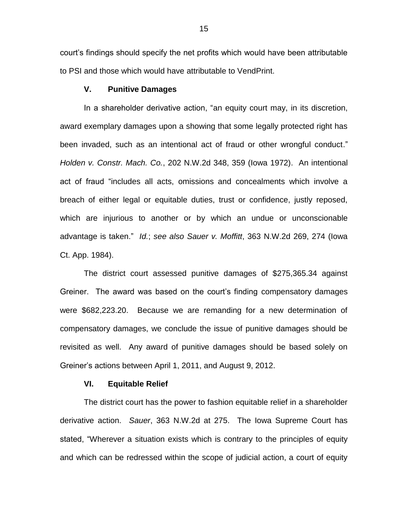court's findings should specify the net profits which would have been attributable to PSI and those which would have attributable to VendPrint.

## **V. Punitive Damages**

In a shareholder derivative action, "an equity court may, in its discretion, award exemplary damages upon a showing that some legally protected right has been invaded, such as an intentional act of fraud or other wrongful conduct." *Holden v. Constr. Mach. Co.*, 202 N.W.2d 348, 359 (Iowa 1972). An intentional act of fraud "includes all acts, omissions and concealments which involve a breach of either legal or equitable duties, trust or confidence, justly reposed, which are injurious to another or by which an undue or unconscionable advantage is taken." *Id.*; *see also Sauer v. Moffitt*, 363 N.W.2d 269, 274 (Iowa Ct. App. 1984).

The district court assessed punitive damages of \$275,365.34 against Greiner. The award was based on the court's finding compensatory damages were \$682,223.20. Because we are remanding for a new determination of compensatory damages, we conclude the issue of punitive damages should be revisited as well. Any award of punitive damages should be based solely on Greiner's actions between April 1, 2011, and August 9, 2012.

## **VI. Equitable Relief**

The district court has the power to fashion equitable relief in a shareholder derivative action. *Sauer*, 363 N.W.2d at 275. The Iowa Supreme Court has stated, "Wherever a situation exists which is contrary to the principles of equity and which can be redressed within the scope of judicial action, a court of equity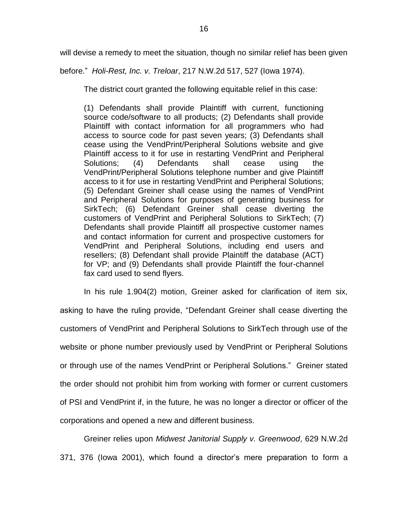will devise a remedy to meet the situation, though no similar relief has been given

before." *Holi-Rest, Inc. v. Treloar*, 217 N.W.2d 517, 527 (Iowa 1974).

The district court granted the following equitable relief in this case:

(1) Defendants shall provide Plaintiff with current, functioning source code/software to all products; (2) Defendants shall provide Plaintiff with contact information for all programmers who had access to source code for past seven years; (3) Defendants shall cease using the VendPrint/Peripheral Solutions website and give Plaintiff access to it for use in restarting VendPrint and Peripheral Solutions; (4) Defendants shall cease using the VendPrint/Peripheral Solutions telephone number and give Plaintiff access to it for use in restarting VendPrint and Peripheral Solutions; (5) Defendant Greiner shall cease using the names of VendPrint and Peripheral Solutions for purposes of generating business for SirkTech; (6) Defendant Greiner shall cease diverting the customers of VendPrint and Peripheral Solutions to SirkTech; (7) Defendants shall provide Plaintiff all prospective customer names and contact information for current and prospective customers for VendPrint and Peripheral Solutions, including end users and resellers; (8) Defendant shall provide Plaintiff the database (ACT) for VP; and (9) Defendants shall provide Plaintiff the four-channel fax card used to send flyers.

In his rule 1.904(2) motion, Greiner asked for clarification of item six, asking to have the ruling provide, "Defendant Greiner shall cease diverting the customers of VendPrint and Peripheral Solutions to SirkTech through use of the website or phone number previously used by VendPrint or Peripheral Solutions or through use of the names VendPrint or Peripheral Solutions." Greiner stated the order should not prohibit him from working with former or current customers of PSI and VendPrint if, in the future, he was no longer a director or officer of the corporations and opened a new and different business.

Greiner relies upon *Midwest Janitorial Supply v. Greenwood*, 629 N.W.2d 371, 376 (Iowa 2001), which found a director's mere preparation to form a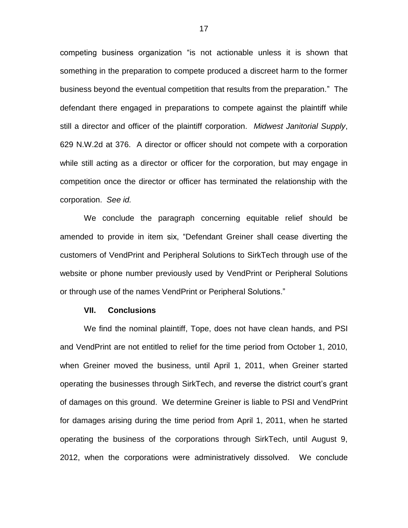competing business organization "is not actionable unless it is shown that something in the preparation to compete produced a discreet harm to the former business beyond the eventual competition that results from the preparation." The defendant there engaged in preparations to compete against the plaintiff while still a director and officer of the plaintiff corporation. *Midwest Janitorial Supply*, 629 N.W.2d at 376. A director or officer should not compete with a corporation while still acting as a director or officer for the corporation, but may engage in competition once the director or officer has terminated the relationship with the corporation. *See id.*

We conclude the paragraph concerning equitable relief should be amended to provide in item six, "Defendant Greiner shall cease diverting the customers of VendPrint and Peripheral Solutions to SirkTech through use of the website or phone number previously used by VendPrint or Peripheral Solutions or through use of the names VendPrint or Peripheral Solutions."

### **VII. Conclusions**

We find the nominal plaintiff, Tope, does not have clean hands, and PSI and VendPrint are not entitled to relief for the time period from October 1, 2010, when Greiner moved the business, until April 1, 2011, when Greiner started operating the businesses through SirkTech, and reverse the district court's grant of damages on this ground. We determine Greiner is liable to PSI and VendPrint for damages arising during the time period from April 1, 2011, when he started operating the business of the corporations through SirkTech, until August 9, 2012, when the corporations were administratively dissolved. We conclude